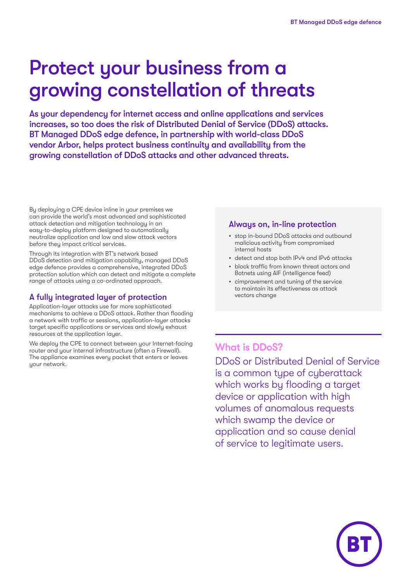# Protect your business from a growing constellation of threats

As your dependency for internet access and online applications and services increases, so too does the risk of Distributed Denial of Service (DDoS) attacks. BT Managed DDoS edge defence, in partnership with world-class DDoS vendor Arbor, helps protect business continuity and availability from the growing constellation of DDoS attacks and other advanced threats.

By deploying a CPE device inline in your premises we can provide the world's most advanced and sophisticated attack detection and mitigation technology in an easy-to-deploy platform designed to automatically neutralize application and low and slow attack vectors before they impact critical services.

Through its integration with BT's network based DDoS detection and mitigation capability, managed DDoS edge defence provides a comprehensive, integrated DDoS protection solution which can detect and mitigate a complete range of attacks using a co-ordinated approach.

### A fully integrated layer of protection

Application-layer attacks use far more sophisticated mechanisms to achieve a DDoS attack. Rather than flooding a network with traffic or sessions, application-layer attacks target specific applications or services and slowly exhaust resources at the application layer.

We deploy the CPE to connect between your Internet-facing router and your internal infrastructure (often a Firewall). The appliance examines every packet that enters or leaves your network.

### Always on, in-line protection

- stop in-bound DDoS attacks and outbound malicious activity from compromised internal hosts
- detect and stop both IPv4 and IPv6 attacks
- block traffic from known threat actors and Botnets using AIF (intelligence feed)
- cimprovement and tuning of the service to maintain its effectiveness as attack vectors change

### What is DDoS?

DDoS or Distributed Denial of Service is a common type of cyberattack which works by flooding a target device or application with high volumes of anomalous requests which swamp the device or application and so cause denial of service to legitimate users.